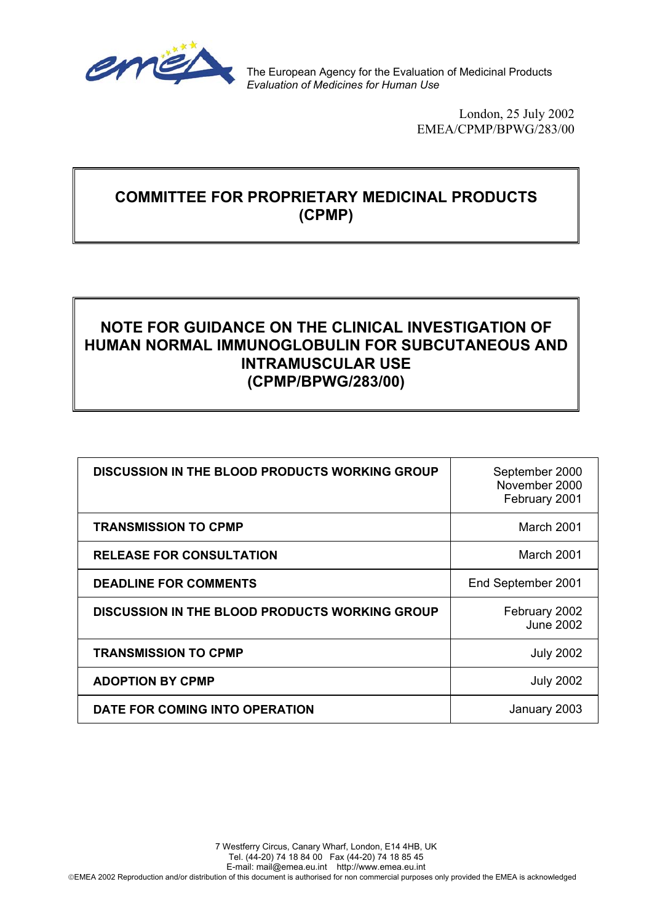

The European Agency for the Evaluation of Medicinal Products *Evaluation of Medicines for Human Use*

> London, 25 July 2002 EMEA/CPMP/BPWG/283/00

# **COMMITTEE FOR PROPRIETARY MEDICINAL PRODUCTS (CPMP)**

# **NOTE FOR GUIDANCE ON THE CLINICAL INVESTIGATION OF HUMAN NORMAL IMMUNOGLOBULIN FOR SUBCUTANEOUS AND INTRAMUSCULAR USE (CPMP/BPWG/283/00)**

| <b>DISCUSSION IN THE BLOOD PRODUCTS WORKING GROUP</b> | September 2000<br>November 2000<br>February 2001 |
|-------------------------------------------------------|--------------------------------------------------|
| <b>TRANSMISSION TO CPMP</b>                           | March 2001                                       |
| <b>RELEASE FOR CONSULTATION</b>                       | March 2001                                       |
| <b>DEADLINE FOR COMMENTS</b>                          | End September 2001                               |
| <b>DISCUSSION IN THE BLOOD PRODUCTS WORKING GROUP</b> | February 2002<br><b>June 2002</b>                |
| <b>TRANSMISSION TO CPMP</b>                           | <b>July 2002</b>                                 |
| <b>ADOPTION BY CPMP</b>                               | <b>July 2002</b>                                 |
| DATE FOR COMING INTO OPERATION                        | January 2003                                     |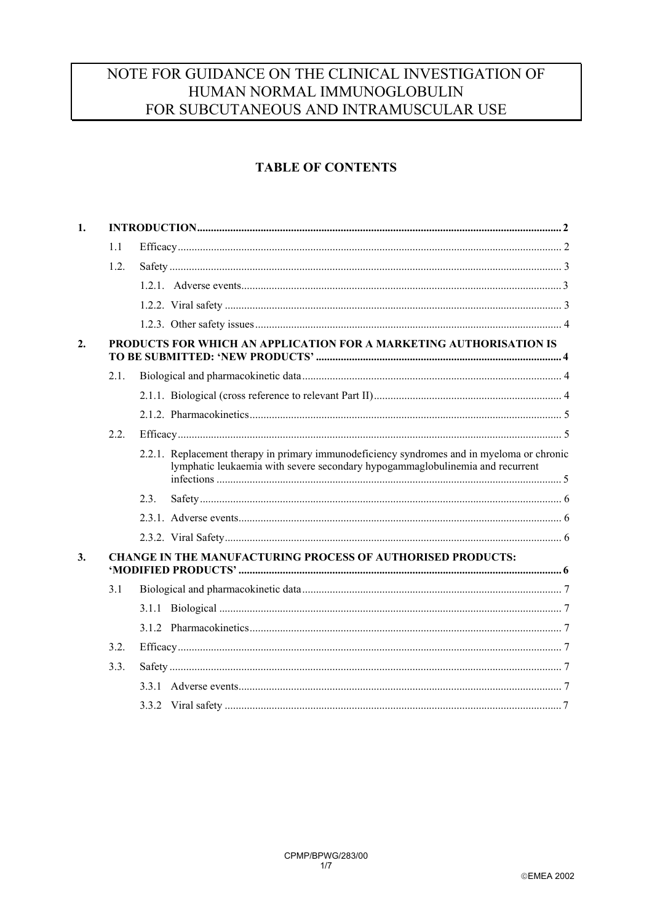# NOTE FOR GUIDANCE ON THE CLINICAL INVESTIGATION OF HUMAN NORMAL IMMUNOGLOBULIN FOR SUBCUTANEOUS AND INTRAMUSCULAR USE

## **TABLE OF CONTENTS**

| 1. |      |      |                                                                                                                                                                             |  |
|----|------|------|-----------------------------------------------------------------------------------------------------------------------------------------------------------------------------|--|
|    | 1.1  |      |                                                                                                                                                                             |  |
|    | 1.2. |      |                                                                                                                                                                             |  |
|    |      |      |                                                                                                                                                                             |  |
|    |      |      |                                                                                                                                                                             |  |
|    |      |      |                                                                                                                                                                             |  |
| 2. |      |      | PRODUCTS FOR WHICH AN APPLICATION FOR A MARKETING AUTHORISATION IS                                                                                                          |  |
|    | 2.1. |      |                                                                                                                                                                             |  |
|    |      |      |                                                                                                                                                                             |  |
|    |      |      |                                                                                                                                                                             |  |
|    | 2.2. |      |                                                                                                                                                                             |  |
|    |      |      | 2.2.1. Replacement therapy in primary immunodeficiency syndromes and in myeloma or chronic<br>lymphatic leukaemia with severe secondary hypogammaglobulinemia and recurrent |  |
|    |      | 2.3. |                                                                                                                                                                             |  |
|    |      |      |                                                                                                                                                                             |  |
|    |      |      |                                                                                                                                                                             |  |
| 3. |      |      | <b>CHANGE IN THE MANUFACTURING PROCESS OF AUTHORISED PRODUCTS:</b>                                                                                                          |  |
|    | 3.1  |      |                                                                                                                                                                             |  |
|    |      |      |                                                                                                                                                                             |  |
|    |      |      |                                                                                                                                                                             |  |
|    | 3.2. |      |                                                                                                                                                                             |  |
|    | 3.3. |      |                                                                                                                                                                             |  |
|    |      |      |                                                                                                                                                                             |  |
|    |      |      |                                                                                                                                                                             |  |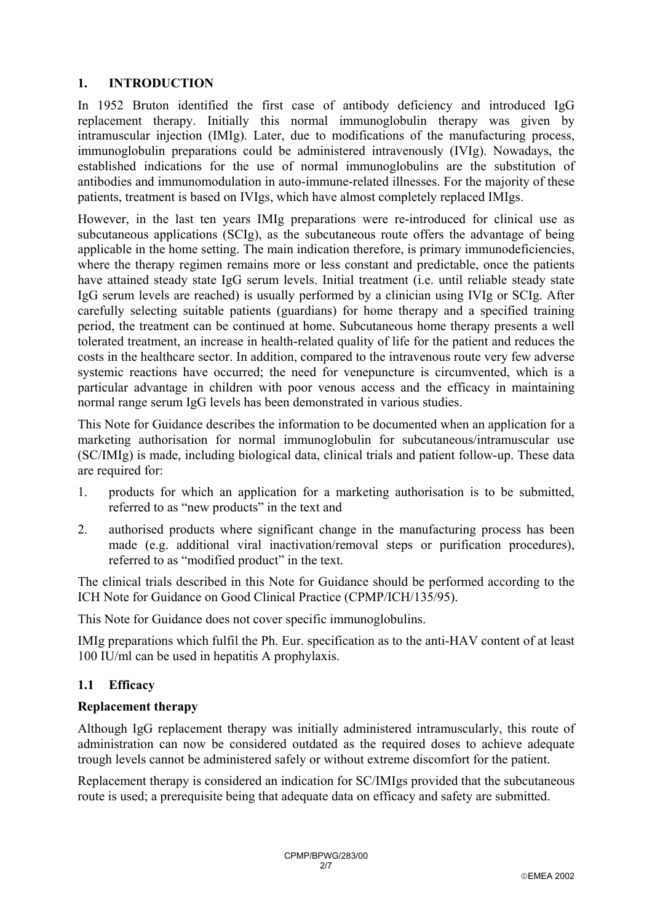## **1. INTRODUCTION**

In 1952 Bruton identified the first case of antibody deficiency and introduced IgG replacement therapy. Initially this normal immunoglobulin therapy was given by intramuscular injection (IMIg). Later, due to modifications of the manufacturing process, immunoglobulin preparations could be administered intravenously (IVIg). Nowadays, the established indications for the use of normal immunoglobulins are the substitution of antibodies and immunomodulation in auto-immune-related illnesses. For the majority of these patients, treatment is based on IVIgs, which have almost completely replaced IMIgs.

However, in the last ten years IMIg preparations were re-introduced for clinical use as subcutaneous applications (SCIg), as the subcutaneous route offers the advantage of being applicable in the home setting. The main indication therefore, is primary immunodeficiencies, where the therapy regimen remains more or less constant and predictable, once the patients have attained steady state IgG serum levels. Initial treatment (i.e. until reliable steady state IgG serum levels are reached) is usually performed by a clinician using IVIg or SCIg. After carefully selecting suitable patients (guardians) for home therapy and a specified training period, the treatment can be continued at home. Subcutaneous home therapy presents a well tolerated treatment, an increase in health-related quality of life for the patient and reduces the costs in the healthcare sector. In addition, compared to the intravenous route very few adverse systemic reactions have occurred; the need for venepuncture is circumvented, which is a particular advantage in children with poor venous access and the efficacy in maintaining normal range serum IgG levels has been demonstrated in various studies.

This Note for Guidance describes the information to be documented when an application for a marketing authorisation for normal immunoglobulin for subcutaneous/intramuscular use (SC/IMIg) is made, including biological data, clinical trials and patient follow-up. These data are required for:

- 1. products for which an application for a marketing authorisation is to be submitted, referred to as "new products" in the text and
- 2. authorised products where significant change in the manufacturing process has been made (e.g. additional viral inactivation/removal steps or purification procedures), referred to as "modified product" in the text.

The clinical trials described in this Note for Guidance should be performed according to the ICH Note for Guidance on Good Clinical Practice (CPMP/ICH/135/95).

This Note for Guidance does not cover specific immunoglobulins.

IMIg preparations which fulfil the Ph. Eur. specification as to the anti-HAV content of at least 100 IU/ml can be used in hepatitis A prophylaxis.

# **1.1 Efficacy**

## **Replacement therapy**

Although IgG replacement therapy was initially administered intramuscularly, this route of administration can now be considered outdated as the required doses to achieve adequate trough levels cannot be administered safely or without extreme discomfort for the patient.

Replacement therapy is considered an indication for SC/IMIgs provided that the subcutaneous route is used; a prerequisite being that adequate data on efficacy and safety are submitted.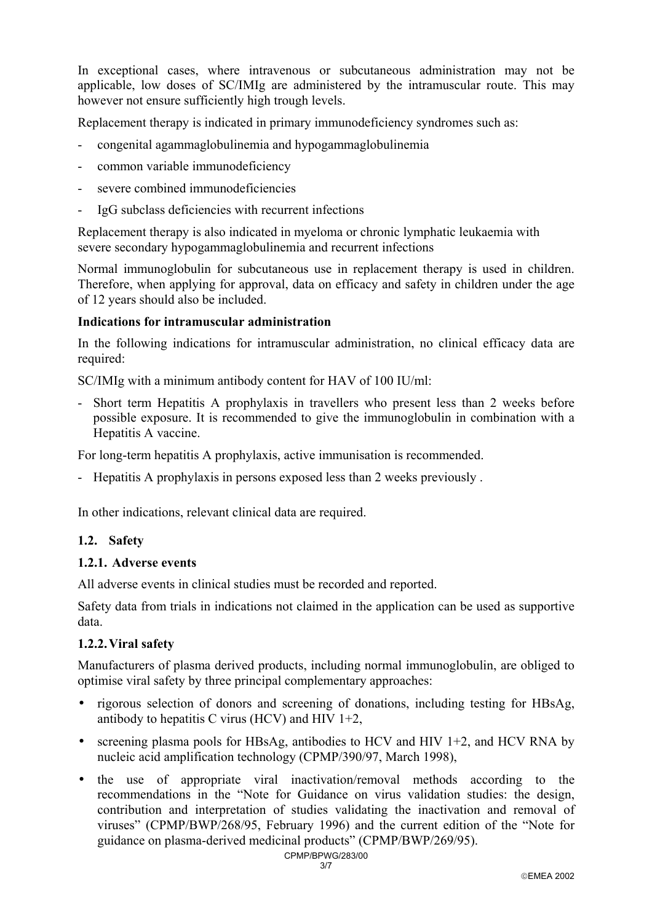In exceptional cases, where intravenous or subcutaneous administration may not be applicable, low doses of SC/IMIg are administered by the intramuscular route. This may however not ensure sufficiently high trough levels.

Replacement therapy is indicated in primary immunodeficiency syndromes such as:

- congenital agammaglobulinemia and hypogammaglobulinemia
- common variable immunodeficiency
- severe combined immunodeficiencies
- IgG subclass deficiencies with recurrent infections

Replacement therapy is also indicated in myeloma or chronic lymphatic leukaemia with severe secondary hypogammaglobulinemia and recurrent infections

Normal immunoglobulin for subcutaneous use in replacement therapy is used in children. Therefore, when applying for approval, data on efficacy and safety in children under the age of 12 years should also be included.

#### **Indications for intramuscular administration**

In the following indications for intramuscular administration, no clinical efficacy data are required:

SC/IMIg with a minimum antibody content for HAV of 100 IU/ml:

- Short term Hepatitis A prophylaxis in travellers who present less than 2 weeks before possible exposure. It is recommended to give the immunoglobulin in combination with a Hepatitis A vaccine.

For long-term hepatitis A prophylaxis, active immunisation is recommended.

- Hepatitis A prophylaxis in persons exposed less than 2 weeks previously .

In other indications, relevant clinical data are required.

#### **1.2. Safety**

#### **1.2.1. Adverse events**

All adverse events in clinical studies must be recorded and reported.

Safety data from trials in indications not claimed in the application can be used as supportive data.

### **1.2.2. Viral safety**

Manufacturers of plasma derived products, including normal immunoglobulin, are obliged to optimise viral safety by three principal complementary approaches:

- rigorous selection of donors and screening of donations, including testing for HBsAg, antibody to hepatitis C virus (HCV) and HIV  $1+2$ ,
- screening plasma pools for HBsAg, antibodies to HCV and HIV 1+2, and HCV RNA by nucleic acid amplification technology (CPMP/390/97, March 1998),
- the use of appropriate viral inactivation/removal methods according to the recommendations in the "Note for Guidance on virus validation studies: the design, contribution and interpretation of studies validating the inactivation and removal of viruses" (CPMP/BWP/268/95, February 1996) and the current edition of the "Note for guidance on plasma-derived medicinal products" (CPMP/BWP/269/95).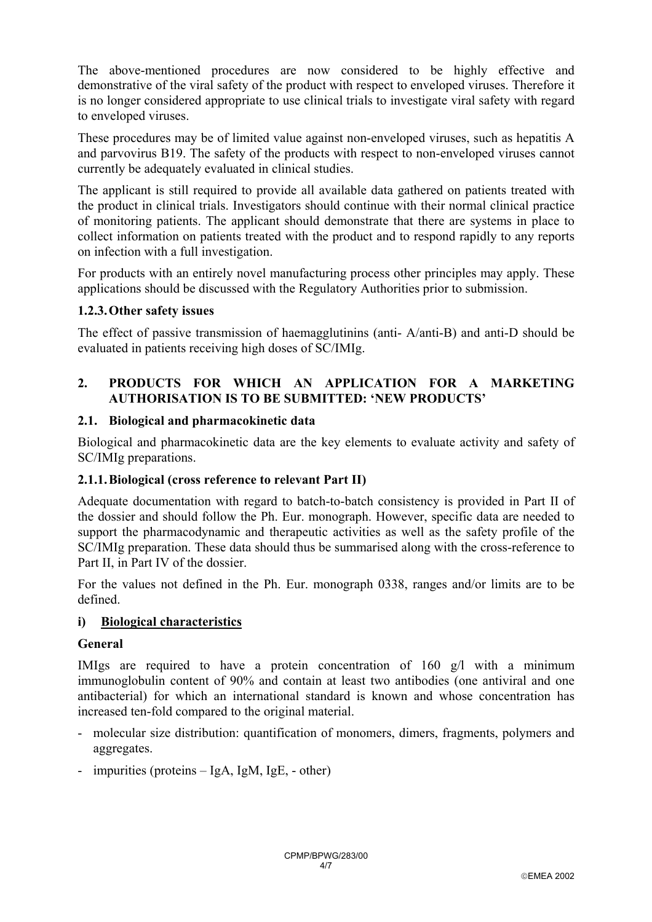The above-mentioned procedures are now considered to be highly effective and demonstrative of the viral safety of the product with respect to enveloped viruses. Therefore it is no longer considered appropriate to use clinical trials to investigate viral safety with regard to enveloped viruses.

These procedures may be of limited value against non-enveloped viruses, such as hepatitis A and parvovirus B19. The safety of the products with respect to non-enveloped viruses cannot currently be adequately evaluated in clinical studies.

The applicant is still required to provide all available data gathered on patients treated with the product in clinical trials. Investigators should continue with their normal clinical practice of monitoring patients. The applicant should demonstrate that there are systems in place to collect information on patients treated with the product and to respond rapidly to any reports on infection with a full investigation.

For products with an entirely novel manufacturing process other principles may apply. These applications should be discussed with the Regulatory Authorities prior to submission.

## **1.2.3. Other safety issues**

The effect of passive transmission of haemagglutinins (anti- A/anti-B) and anti-D should be evaluated in patients receiving high doses of SC/IMIg.

## **2. PRODUCTS FOR WHICH AN APPLICATION FOR A MARKETING AUTHORISATION IS TO BE SUBMITTED: 'NEW PRODUCTS'**

### **2.1. Biological and pharmacokinetic data**

Biological and pharmacokinetic data are the key elements to evaluate activity and safety of SC/IMIg preparations.

### **2.1.1. Biological (cross reference to relevant Part II)**

Adequate documentation with regard to batch-to-batch consistency is provided in Part II of the dossier and should follow the Ph. Eur. monograph. However, specific data are needed to support the pharmacodynamic and therapeutic activities as well as the safety profile of the SC/IMIg preparation. These data should thus be summarised along with the cross-reference to Part II, in Part IV of the dossier.

For the values not defined in the Ph. Eur. monograph 0338, ranges and/or limits are to be defined.

## **i) Biological characteristics**

### **General**

IMIgs are required to have a protein concentration of 160 g/l with a minimum immunoglobulin content of 90% and contain at least two antibodies (one antiviral and one antibacterial) for which an international standard is known and whose concentration has increased ten-fold compared to the original material.

- molecular size distribution: quantification of monomers, dimers, fragments, polymers and aggregates.
- impurities (proteins IgA, IgM, IgE, other)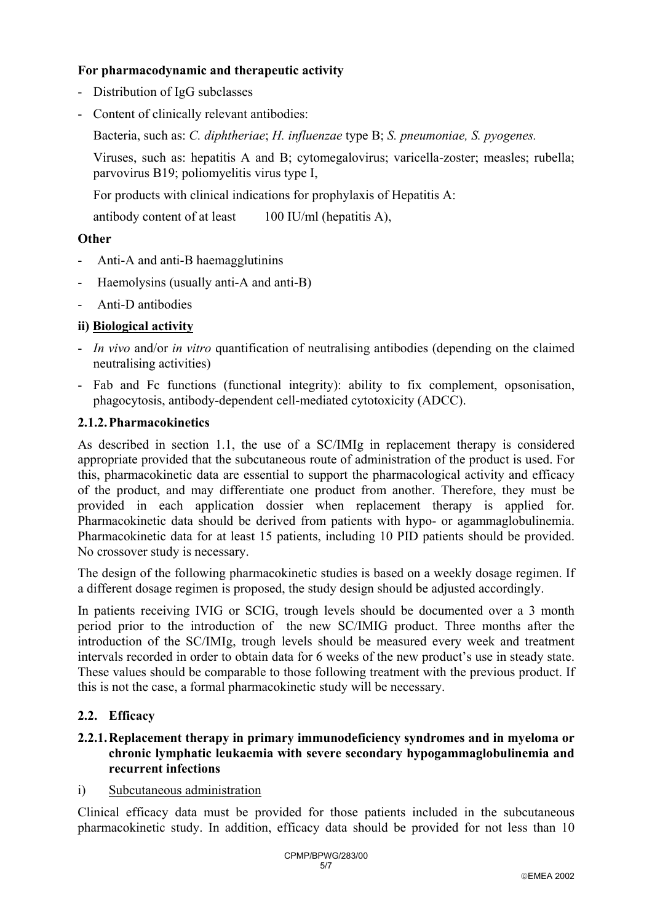## **For pharmacodynamic and therapeutic activity**

- Distribution of IgG subclasses
- Content of clinically relevant antibodies:

Bacteria, such as: *C. diphtheriae*; *H. influenzae* type B; *S. pneumoniae, S. pyogenes.*

Viruses, such as: hepatitis A and B; cytomegalovirus; varicella-zoster; measles; rubella; parvovirus B19; poliomyelitis virus type I,

For products with clinical indications for prophylaxis of Hepatitis A:

antibody content of at least 100 IU/ml (hepatitis A),

## **Other**

- Anti-A and anti-B haemagglutinins
- Haemolysins (usually anti-A and anti-B)
- Anti-D antibodies

## **ii) Biological activity**

- *In vivo* and/or *in vitro* quantification of neutralising antibodies (depending on the claimed neutralising activities)
- Fab and Fc functions (functional integrity): ability to fix complement, opsonisation, phagocytosis, antibody-dependent cell-mediated cytotoxicity (ADCC).

### **2.1.2. Pharmacokinetics**

As described in section 1.1, the use of a SC/IMIg in replacement therapy is considered appropriate provided that the subcutaneous route of administration of the product is used. For this, pharmacokinetic data are essential to support the pharmacological activity and efficacy of the product, and may differentiate one product from another. Therefore, they must be provided in each application dossier when replacement therapy is applied for. Pharmacokinetic data should be derived from patients with hypo- or agammaglobulinemia. Pharmacokinetic data for at least 15 patients, including 10 PID patients should be provided. No crossover study is necessary.

The design of the following pharmacokinetic studies is based on a weekly dosage regimen. If a different dosage regimen is proposed, the study design should be adjusted accordingly.

In patients receiving IVIG or SCIG, trough levels should be documented over a 3 month period prior to the introduction of the new SC/IMIG product. Three months after the introduction of the SC/IMIg, trough levels should be measured every week and treatment intervals recorded in order to obtain data for 6 weeks of the new product's use in steady state. These values should be comparable to those following treatment with the previous product. If this is not the case, a formal pharmacokinetic study will be necessary.

### **2.2. Efficacy**

### **2.2.1. Replacement therapy in primary immunodeficiency syndromes and in myeloma or chronic lymphatic leukaemia with severe secondary hypogammaglobulinemia and recurrent infections**

### i) Subcutaneous administration

Clinical efficacy data must be provided for those patients included in the subcutaneous pharmacokinetic study. In addition, efficacy data should be provided for not less than 10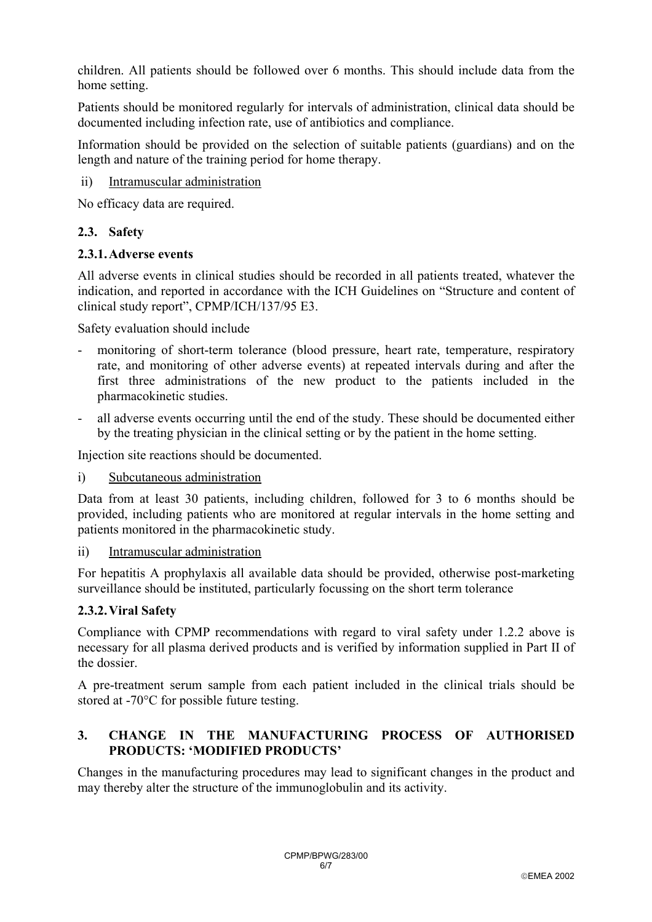children. All patients should be followed over 6 months. This should include data from the home setting.

Patients should be monitored regularly for intervals of administration, clinical data should be documented including infection rate, use of antibiotics and compliance.

Information should be provided on the selection of suitable patients (guardians) and on the length and nature of the training period for home therapy.

ii) Intramuscular administration

No efficacy data are required.

## **2.3. Safety**

## **2.3.1. Adverse events**

All adverse events in clinical studies should be recorded in all patients treated, whatever the indication, and reported in accordance with the ICH Guidelines on "Structure and content of clinical study report", CPMP/ICH/137/95 E3.

Safety evaluation should include

- monitoring of short-term tolerance (blood pressure, heart rate, temperature, respiratory rate, and monitoring of other adverse events) at repeated intervals during and after the first three administrations of the new product to the patients included in the pharmacokinetic studies.
- all adverse events occurring until the end of the study. These should be documented either by the treating physician in the clinical setting or by the patient in the home setting.

Injection site reactions should be documented.

### i) Subcutaneous administration

Data from at least 30 patients, including children, followed for 3 to 6 months should be provided, including patients who are monitored at regular intervals in the home setting and patients monitored in the pharmacokinetic study.

### ii) Intramuscular administration

For hepatitis A prophylaxis all available data should be provided, otherwise post-marketing surveillance should be instituted, particularly focussing on the short term tolerance

## **2.3.2. Viral Safety**

Compliance with CPMP recommendations with regard to viral safety under 1.2.2 above is necessary for all plasma derived products and is verified by information supplied in Part II of the dossier.

A pre-treatment serum sample from each patient included in the clinical trials should be stored at -70°C for possible future testing.

## **3. CHANGE IN THE MANUFACTURING PROCESS OF AUTHORISED PRODUCTS: 'MODIFIED PRODUCTS'**

Changes in the manufacturing procedures may lead to significant changes in the product and may thereby alter the structure of the immunoglobulin and its activity.